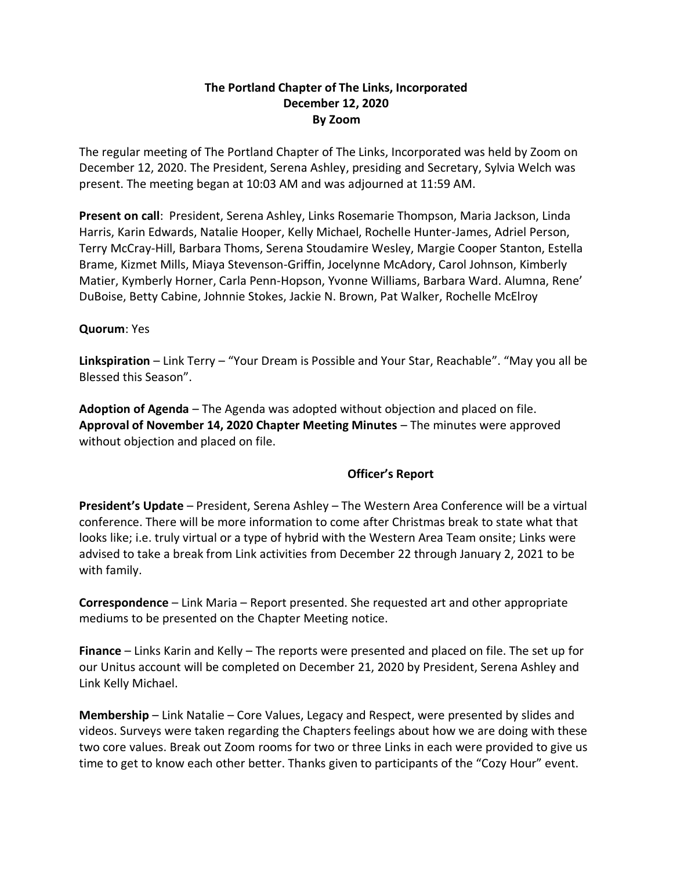# **The Portland Chapter of The Links, Incorporated December 12, 2020 By Zoom**

The regular meeting of The Portland Chapter of The Links, Incorporated was held by Zoom on December 12, 2020. The President, Serena Ashley, presiding and Secretary, Sylvia Welch was present. The meeting began at 10:03 AM and was adjourned at 11:59 AM.

**Present on call**: President, Serena Ashley, Links Rosemarie Thompson, Maria Jackson, Linda Harris, Karin Edwards, Natalie Hooper, Kelly Michael, Rochelle Hunter-James, Adriel Person, Terry McCray-Hill, Barbara Thoms, Serena Stoudamire Wesley, Margie Cooper Stanton, Estella Brame, Kizmet Mills, Miaya Stevenson-Griffin, Jocelynne McAdory, Carol Johnson, Kimberly Matier, Kymberly Horner, Carla Penn-Hopson, Yvonne Williams, Barbara Ward. Alumna, Rene' DuBoise, Betty Cabine, Johnnie Stokes, Jackie N. Brown, Pat Walker, Rochelle McElroy

## **Quorum**: Yes

**Linkspiration** – Link Terry – "Your Dream is Possible and Your Star, Reachable". "May you all be Blessed this Season".

**Adoption of Agenda** – The Agenda was adopted without objection and placed on file. **Approval of November 14, 2020 Chapter Meeting Minutes** – The minutes were approved without objection and placed on file.

### **Officer's Report**

**President's Update** – President, Serena Ashley – The Western Area Conference will be a virtual conference. There will be more information to come after Christmas break to state what that looks like; i.e. truly virtual or a type of hybrid with the Western Area Team onsite; Links were advised to take a break from Link activities from December 22 through January 2, 2021 to be with family.

**Correspondence** – Link Maria – Report presented. She requested art and other appropriate mediums to be presented on the Chapter Meeting notice.

**Finance** – Links Karin and Kelly – The reports were presented and placed on file. The set up for our Unitus account will be completed on December 21, 2020 by President, Serena Ashley and Link Kelly Michael.

**Membership** – Link Natalie – Core Values, Legacy and Respect, were presented by slides and videos. Surveys were taken regarding the Chapters feelings about how we are doing with these two core values. Break out Zoom rooms for two or three Links in each were provided to give us time to get to know each other better. Thanks given to participants of the "Cozy Hour" event.